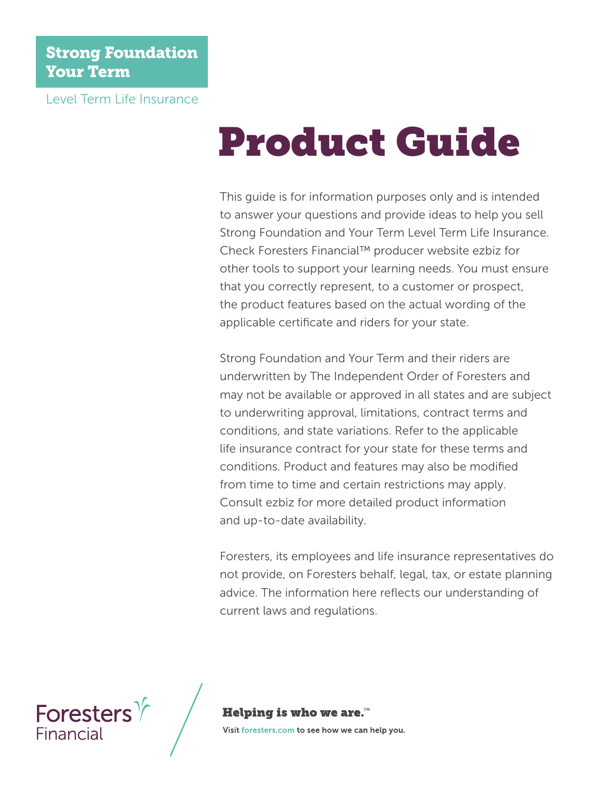#### Strong Foundation Your Term

Level Term Life Insurance

# Product Guide

This guide is for information purposes only and is intended to answer your questions and provide ideas to help you sell Strong Foundation and Your Term Level Term Life Insurance. Check Foresters Financial™ producer website ezbiz for other tools to support your learning needs. You must ensure that you correctly represent, to a customer or prospect, the product features based on the actual wording of the applicable certificate and riders for your state.

Strong Foundation and Your Term and their riders are underwritten by The Independent Order of Foresters and may not be available or approved in all states and are subject to underwriting approval, limitations, contract terms and conditions, and state variations. Refer to the applicable life insurance contract for your state for these terms and conditions. Product and features may also be modified from time to time and certain restrictions may apply. Consult ezbiz for more detailed product information and up-to-date availability.

Foresters, its employees and life insurance representatives do not provide, on Foresters behalf, legal, tax, or estate planning advice. The information here reflects our understanding of current laws and regulations.



#### Helping is who we are. $M$

Visit foresters.com to see how we can help you.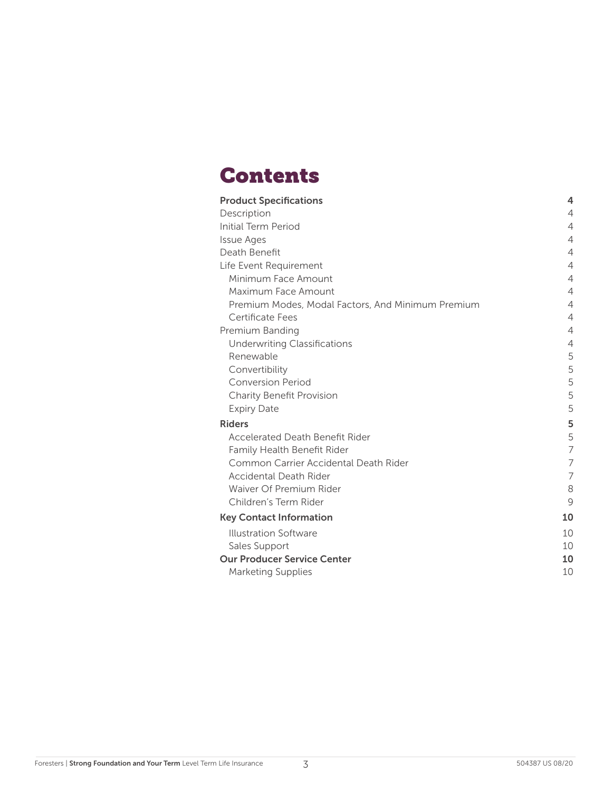## **Contents**

| <b>Product Specifications</b>                     | 4              |
|---------------------------------------------------|----------------|
| Description                                       | 4              |
| <b>Initial Term Period</b>                        | 4              |
| <b>Issue Ages</b>                                 | 4              |
| Death Benefit                                     | 4              |
| Life Event Requirement                            | $\overline{4}$ |
| Minimum Face Amount                               | $\overline{4}$ |
| Maximum Face Amount                               | $\overline{4}$ |
| Premium Modes, Modal Factors, And Minimum Premium | 4              |
| Certificate Fees                                  | $\overline{4}$ |
| Premium Banding                                   | 4              |
| <b>Underwriting Classifications</b>               | 4              |
| Renewable                                         | 5              |
| Convertibility                                    | 5              |
| <b>Conversion Period</b>                          | 5              |
| Charity Benefit Provision                         | 5              |
| <b>Expiry Date</b>                                | 5              |
| <b>Riders</b>                                     | 5              |
| Accelerated Death Benefit Rider                   | 5              |
| Family Health Benefit Rider                       | $\overline{7}$ |
| Common Carrier Accidental Death Rider             | $\overline{7}$ |
| Accidental Death Rider                            | 7              |
| Waiver Of Premium Rider                           | 8              |
| Children's Term Rider                             | 9              |
| <b>Key Contact Information</b>                    | 10             |
| Illustration Software                             | 10             |
| Sales Support                                     | 10             |
| <b>Our Producer Service Center</b>                | 10             |
| <b>Marketing Supplies</b>                         | 10             |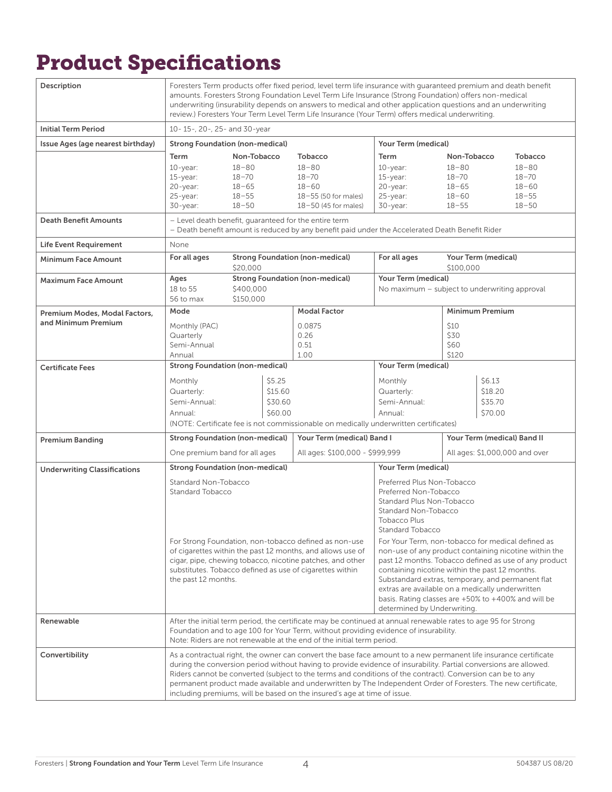# Product Specifications

| Description                         | Foresters Term products offer fixed period, level term life insurance with quaranteed premium and death benefit<br>amounts. Foresters Strong Foundation Level Term Life Insurance (Strong Foundation) offers non-medical<br>underwriting (insurability depends on answers to medical and other application questions and an underwriting<br>review.) Foresters Your Term Level Term Life Insurance (Your Term) offers medical underwriting. |                                                                              |                                         |                                                                                                                                                                                                                                                                                                                                                                                                                                                                                                                                                  |                                                                           |                                                                              |                                         |                                                                                 |
|-------------------------------------|---------------------------------------------------------------------------------------------------------------------------------------------------------------------------------------------------------------------------------------------------------------------------------------------------------------------------------------------------------------------------------------------------------------------------------------------|------------------------------------------------------------------------------|-----------------------------------------|--------------------------------------------------------------------------------------------------------------------------------------------------------------------------------------------------------------------------------------------------------------------------------------------------------------------------------------------------------------------------------------------------------------------------------------------------------------------------------------------------------------------------------------------------|---------------------------------------------------------------------------|------------------------------------------------------------------------------|-----------------------------------------|---------------------------------------------------------------------------------|
| <b>Initial Term Period</b>          | 10-15-, 20-, 25- and 30-year                                                                                                                                                                                                                                                                                                                                                                                                                |                                                                              |                                         |                                                                                                                                                                                                                                                                                                                                                                                                                                                                                                                                                  |                                                                           |                                                                              |                                         |                                                                                 |
| Issue Ages (age nearest birthday)   | <b>Strong Foundation (non-medical)</b>                                                                                                                                                                                                                                                                                                                                                                                                      |                                                                              |                                         |                                                                                                                                                                                                                                                                                                                                                                                                                                                                                                                                                  | Your Term (medical)                                                       |                                                                              |                                         |                                                                                 |
|                                     | Term<br>$10$ -year:<br>$15$ -year:<br>20-year:<br>25-year:<br>30-year:                                                                                                                                                                                                                                                                                                                                                                      | Non-Tobacco<br>$18 - 80$<br>$18 - 70$<br>$18 - 65$<br>$18 - 55$<br>$18 - 50$ |                                         | <b>Tobacco</b><br>$18 - 80$<br>$18 - 70$<br>$18 - 60$<br>18-55 (50 for males)<br>$18-50$ (45 for males)                                                                                                                                                                                                                                                                                                                                                                                                                                          | Term<br>$10$ -year:<br>$15$ -year:<br>20-year:<br>25-year:<br>$30$ -year: | Non-Tobacco<br>$18 - 80$<br>$18 - 70$<br>$18 - 65$<br>$18 - 60$<br>$18 - 55$ |                                         | <b>Tobacco</b><br>$18 - 80$<br>$18 - 70$<br>$18 - 60$<br>$18 - 55$<br>$18 - 50$ |
| <b>Death Benefit Amounts</b>        |                                                                                                                                                                                                                                                                                                                                                                                                                                             |                                                                              |                                         | - Level death benefit, guaranteed for the entire term<br>- Death benefit amount is reduced by any benefit paid under the Accelerated Death Benefit Rider                                                                                                                                                                                                                                                                                                                                                                                         |                                                                           |                                                                              |                                         |                                                                                 |
| <b>Life Event Requirement</b>       | None                                                                                                                                                                                                                                                                                                                                                                                                                                        |                                                                              |                                         |                                                                                                                                                                                                                                                                                                                                                                                                                                                                                                                                                  |                                                                           |                                                                              |                                         |                                                                                 |
| <b>Minimum Face Amount</b>          | For all ages                                                                                                                                                                                                                                                                                                                                                                                                                                |                                                                              |                                         | <b>Strong Foundation (non-medical)</b>                                                                                                                                                                                                                                                                                                                                                                                                                                                                                                           | For all ages                                                              |                                                                              | Your Term (medical)                     |                                                                                 |
| <b>Maximum Face Amount</b>          | Ages                                                                                                                                                                                                                                                                                                                                                                                                                                        | \$20,000                                                                     |                                         | <b>Strong Foundation (non-medical)</b>                                                                                                                                                                                                                                                                                                                                                                                                                                                                                                           | Your Term (medical)                                                       | \$100,000                                                                    |                                         |                                                                                 |
|                                     | 18 to 55<br>56 to max                                                                                                                                                                                                                                                                                                                                                                                                                       | \$400,000<br>\$150,000                                                       |                                         |                                                                                                                                                                                                                                                                                                                                                                                                                                                                                                                                                  | No maximum - subject to underwriting approval                             |                                                                              |                                         |                                                                                 |
| Premium Modes, Modal Factors,       | Mode                                                                                                                                                                                                                                                                                                                                                                                                                                        |                                                                              |                                         | <b>Modal Factor</b>                                                                                                                                                                                                                                                                                                                                                                                                                                                                                                                              |                                                                           |                                                                              | <b>Minimum Premium</b>                  |                                                                                 |
| and Minimum Premium                 | Monthly (PAC)<br>Quarterly<br>Semi-Annual<br>Annual                                                                                                                                                                                                                                                                                                                                                                                         |                                                                              | 0.0875<br>0.26<br>0.51<br>1.00          |                                                                                                                                                                                                                                                                                                                                                                                                                                                                                                                                                  | \$10<br>\$30<br>\$60<br>\$120                                             |                                                                              |                                         |                                                                                 |
| <b>Certificate Fees</b>             | <b>Strong Foundation (non-medical)</b>                                                                                                                                                                                                                                                                                                                                                                                                      |                                                                              |                                         |                                                                                                                                                                                                                                                                                                                                                                                                                                                                                                                                                  | Your Term (medical)                                                       |                                                                              |                                         |                                                                                 |
|                                     | Monthly<br>Quarterly:<br>Semi-Annual:<br>Annual:                                                                                                                                                                                                                                                                                                                                                                                            |                                                                              | \$5.25<br>\$15.60<br>\$30.60<br>\$60.00 | (NOTE: Certificate fee is not commissionable on medically underwritten certificates)                                                                                                                                                                                                                                                                                                                                                                                                                                                             | Monthly<br>Quarterly:<br>Semi-Annual:<br>Annual:                          |                                                                              | \$6.13<br>\$18.20<br>\$35.70<br>\$70.00 |                                                                                 |
| <b>Premium Banding</b>              | <b>Strong Foundation (non-medical)</b>                                                                                                                                                                                                                                                                                                                                                                                                      |                                                                              |                                         | Your Term (medical) Band I                                                                                                                                                                                                                                                                                                                                                                                                                                                                                                                       |                                                                           |                                                                              |                                         | Your Term (medical) Band II                                                     |
|                                     | One premium band for all ages                                                                                                                                                                                                                                                                                                                                                                                                               |                                                                              |                                         | All ages: \$100,000 - \$999,999                                                                                                                                                                                                                                                                                                                                                                                                                                                                                                                  |                                                                           | All ages: \$1,000,000 and over                                               |                                         |                                                                                 |
| <b>Underwriting Classifications</b> | <b>Strong Foundation (non-medical)</b>                                                                                                                                                                                                                                                                                                                                                                                                      |                                                                              |                                         |                                                                                                                                                                                                                                                                                                                                                                                                                                                                                                                                                  | Your Term (medical)                                                       |                                                                              |                                         |                                                                                 |
|                                     | Standard Non-Tobacco<br>Preferred Plus Non-Tobacco<br>Preferred Non-Tobacco<br><b>Standard Tobacco</b><br>Standard Plus Non-Tobacco<br>Standard Non-Tobacco<br><b>Tobacco Plus</b><br>Standard Tobacco                                                                                                                                                                                                                                      |                                                                              |                                         |                                                                                                                                                                                                                                                                                                                                                                                                                                                                                                                                                  |                                                                           |                                                                              |                                         |                                                                                 |
|                                     | For Strong Foundation, non-tobacco defined as non-use<br>of cigarettes within the past 12 months, and allows use of<br>cigar, pipe, chewing tobacco, nicotine patches, and other<br>substitutes. Tobacco defined as use of cigarettes within<br>the past 12 months.                                                                                                                                                                         |                                                                              |                                         | For Your Term, non-tobacco for medical defined as<br>non-use of any product containing nicotine within the<br>past 12 months. Tobacco defined as use of any product<br>containing nicotine within the past 12 months.<br>Substandard extras, temporary, and permanent flat<br>extras are available on a medically underwritten<br>basis. Rating classes are $+50\%$ to $+400\%$ and will be<br>determined by Underwriting.                                                                                                                       |                                                                           |                                                                              |                                         |                                                                                 |
| Renewable                           |                                                                                                                                                                                                                                                                                                                                                                                                                                             |                                                                              |                                         | After the initial term period, the certificate may be continued at annual renewable rates to age 95 for Strong<br>Foundation and to age 100 for Your Term, without providing evidence of insurability.<br>Note: Riders are not renewable at the end of the initial term period.                                                                                                                                                                                                                                                                  |                                                                           |                                                                              |                                         |                                                                                 |
| Convertibility                      |                                                                                                                                                                                                                                                                                                                                                                                                                                             |                                                                              |                                         | As a contractual right, the owner can convert the base face amount to a new permanent life insurance certificate<br>during the conversion period without having to provide evidence of insurability. Partial conversions are allowed.<br>Riders cannot be converted (subject to the terms and conditions of the contract). Conversion can be to any<br>permanent product made available and underwritten by The Independent Order of Foresters. The new certificate,<br>including premiums, will be based on the insured's age at time of issue. |                                                                           |                                                                              |                                         |                                                                                 |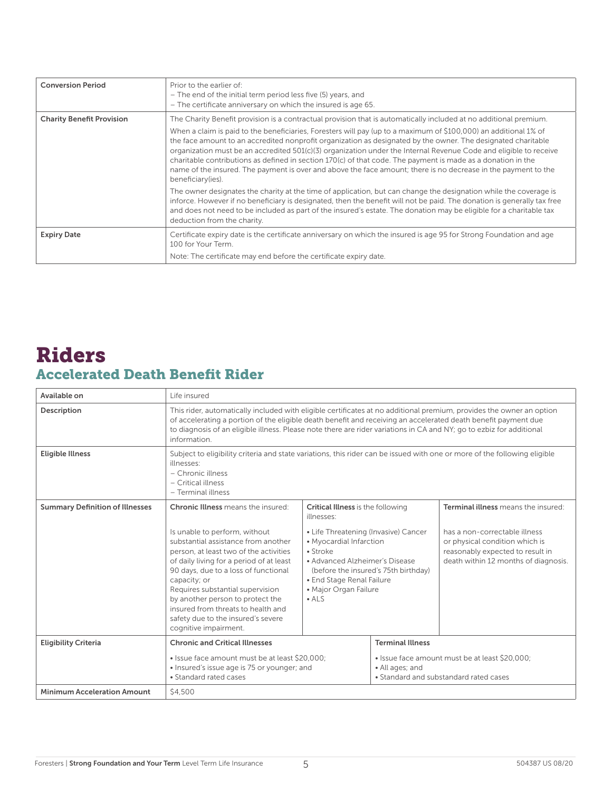| <b>Conversion Period</b>         | Prior to the earlier of:<br>- The end of the initial term period less five (5) years, and<br>- The certificate anniversary on which the insured is age 65.                                                                                                                                                                                                                                                                                                                                                                                                                                                      |
|----------------------------------|-----------------------------------------------------------------------------------------------------------------------------------------------------------------------------------------------------------------------------------------------------------------------------------------------------------------------------------------------------------------------------------------------------------------------------------------------------------------------------------------------------------------------------------------------------------------------------------------------------------------|
| <b>Charity Benefit Provision</b> | The Charity Benefit provision is a contractual provision that is automatically included at no additional premium.                                                                                                                                                                                                                                                                                                                                                                                                                                                                                               |
|                                  | When a claim is paid to the beneficiaries, Foresters will pay (up to a maximum of \$100,000) an additional 1% of<br>the face amount to an accredited nonprofit organization as designated by the owner. The designated charitable<br>organization must be an accredited $501(c)(3)$ organization under the Internal Revenue Code and eligible to receive<br>charitable contributions as defined in section 170(c) of that code. The payment is made as a donation in the<br>name of the insured. The payment is over and above the face amount; there is no decrease in the payment to the<br>beneficiary(ies). |
|                                  | The owner designates the charity at the time of application, but can change the designation while the coverage is<br>inforce. However if no beneficiary is designated, then the benefit will not be paid. The donation is generally tax free<br>and does not need to be included as part of the insured's estate. The donation may be eligible for a charitable tax<br>deduction from the charity.                                                                                                                                                                                                              |
| <b>Expiry Date</b>               | Certificate expiry date is the certificate anniversary on which the insured is age 95 for Strong Foundation and age<br>100 for Your Term.                                                                                                                                                                                                                                                                                                                                                                                                                                                                       |
|                                  | Note: The certificate may end before the certificate expiry date.                                                                                                                                                                                                                                                                                                                                                                                                                                                                                                                                               |

#### Accelerated Death Benefit Rider Riders

| Available on                           | Life insured                                                                                                                                                                                                                                                                                                                                                                                                                                 |                                                                                                                                                                                                                                                                                                |                                                                                                                                        |                                                                                                                                                                                    |  |  |  |
|----------------------------------------|----------------------------------------------------------------------------------------------------------------------------------------------------------------------------------------------------------------------------------------------------------------------------------------------------------------------------------------------------------------------------------------------------------------------------------------------|------------------------------------------------------------------------------------------------------------------------------------------------------------------------------------------------------------------------------------------------------------------------------------------------|----------------------------------------------------------------------------------------------------------------------------------------|------------------------------------------------------------------------------------------------------------------------------------------------------------------------------------|--|--|--|
| Description                            | This rider, automatically included with eligible certificates at no additional premium, provides the owner an option<br>of accelerating a portion of the eligible death benefit and receiving an accelerated death benefit payment due<br>to diagnosis of an eligible illness. Please note there are rider variations in CA and NY; go to ezbiz for additional<br>information.                                                               |                                                                                                                                                                                                                                                                                                |                                                                                                                                        |                                                                                                                                                                                    |  |  |  |
| <b>Eligible Illness</b>                | Subject to eligibility criteria and state variations, this rider can be issued with one or more of the following eligible<br>illnesses:<br>- Chronic illness<br>- Critical illness<br>- Terminal illness                                                                                                                                                                                                                                     |                                                                                                                                                                                                                                                                                                |                                                                                                                                        |                                                                                                                                                                                    |  |  |  |
| <b>Summary Definition of Illnesses</b> | <b>Chronic Illness</b> means the insured:<br>Is unable to perform, without<br>substantial assistance from another<br>person, at least two of the activities<br>of daily living for a period of at least<br>90 days, due to a loss of functional<br>capacity; or<br>Requires substantial supervision<br>by another person to protect the<br>insured from threats to health and<br>safety due to the insured's severe<br>cognitive impairment. | <b>Critical Illness</b> is the following<br>illnesses:<br>• Life Threatening (Invasive) Cancer<br>• Myocardial Infarction<br>$\bullet$ Stroke<br>• Advanced Alzheimer's Disease<br>(before the insured's 75th birthday)<br>• End Stage Renal Failure<br>• Major Organ Failure<br>$\bullet$ ALS |                                                                                                                                        | Terminal illness means the insured:<br>has a non-correctable illness<br>or physical condition which is<br>reasonably expected to result in<br>death within 12 months of diagnosis. |  |  |  |
| <b>Eligibility Criteria</b>            | <b>Chronic and Critical Illnesses</b><br>• Issue face amount must be at least \$20,000:<br>• Insured's issue age is 75 or younger; and<br>• Standard rated cases                                                                                                                                                                                                                                                                             |                                                                                                                                                                                                                                                                                                | <b>Terminal Illness</b><br>. Issue face amount must be at least \$20,000;<br>• All ages; and<br>• Standard and substandard rated cases |                                                                                                                                                                                    |  |  |  |
| <b>Minimum Acceleration Amount</b>     | \$4,500                                                                                                                                                                                                                                                                                                                                                                                                                                      |                                                                                                                                                                                                                                                                                                |                                                                                                                                        |                                                                                                                                                                                    |  |  |  |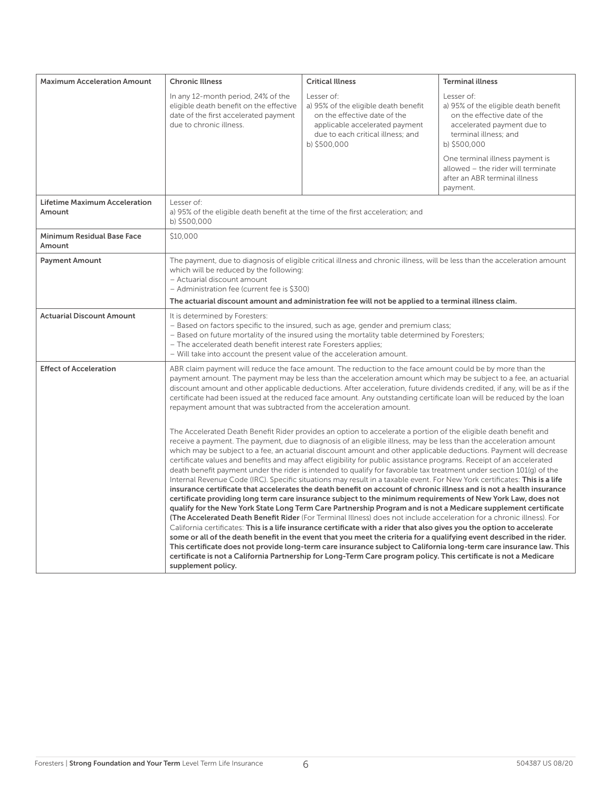| <b>Maximum Acceleration Amount</b>             | <b>Chronic Illness</b>                                                                                                                                                                                                                                                                                                                                                                                                                                                                                                                                   | <b>Critical Illness</b>                                                                                                                                                                                                                                                                                                                                                                                                                                                                                                                                                                                                                                                                                                                                                                                                                                                                                                                                                                                                                                                                                                                                                                                                                                                                                                                                                                                                                                                                                                                                                                                                                                                                                                       | <b>Terminal illness</b>                                                                                                                                   |  |  |  |  |
|------------------------------------------------|----------------------------------------------------------------------------------------------------------------------------------------------------------------------------------------------------------------------------------------------------------------------------------------------------------------------------------------------------------------------------------------------------------------------------------------------------------------------------------------------------------------------------------------------------------|-------------------------------------------------------------------------------------------------------------------------------------------------------------------------------------------------------------------------------------------------------------------------------------------------------------------------------------------------------------------------------------------------------------------------------------------------------------------------------------------------------------------------------------------------------------------------------------------------------------------------------------------------------------------------------------------------------------------------------------------------------------------------------------------------------------------------------------------------------------------------------------------------------------------------------------------------------------------------------------------------------------------------------------------------------------------------------------------------------------------------------------------------------------------------------------------------------------------------------------------------------------------------------------------------------------------------------------------------------------------------------------------------------------------------------------------------------------------------------------------------------------------------------------------------------------------------------------------------------------------------------------------------------------------------------------------------------------------------------|-----------------------------------------------------------------------------------------------------------------------------------------------------------|--|--|--|--|
|                                                | In any 12-month period, 24% of the<br>eligible death benefit on the effective<br>date of the first accelerated payment<br>due to chronic illness.                                                                                                                                                                                                                                                                                                                                                                                                        | Lesser of:<br>a) 95% of the eligible death benefit<br>on the effective date of the<br>applicable accelerated payment<br>due to each critical illness; and<br>b) \$500,000                                                                                                                                                                                                                                                                                                                                                                                                                                                                                                                                                                                                                                                                                                                                                                                                                                                                                                                                                                                                                                                                                                                                                                                                                                                                                                                                                                                                                                                                                                                                                     | Lesser of:<br>a) 95% of the eligible death benefit<br>on the effective date of the<br>accelerated payment due to<br>terminal illness; and<br>b) \$500,000 |  |  |  |  |
|                                                |                                                                                                                                                                                                                                                                                                                                                                                                                                                                                                                                                          |                                                                                                                                                                                                                                                                                                                                                                                                                                                                                                                                                                                                                                                                                                                                                                                                                                                                                                                                                                                                                                                                                                                                                                                                                                                                                                                                                                                                                                                                                                                                                                                                                                                                                                                               | One terminal illness payment is<br>allowed - the rider will terminate<br>after an ABR terminal illness<br>payment.                                        |  |  |  |  |
| <b>Lifetime Maximum Acceleration</b><br>Amount | Lesser of:<br>a) 95% of the eligible death benefit at the time of the first acceleration; and<br>b) \$500,000                                                                                                                                                                                                                                                                                                                                                                                                                                            |                                                                                                                                                                                                                                                                                                                                                                                                                                                                                                                                                                                                                                                                                                                                                                                                                                                                                                                                                                                                                                                                                                                                                                                                                                                                                                                                                                                                                                                                                                                                                                                                                                                                                                                               |                                                                                                                                                           |  |  |  |  |
| <b>Minimum Residual Base Face</b><br>Amount    | \$10,000                                                                                                                                                                                                                                                                                                                                                                                                                                                                                                                                                 |                                                                                                                                                                                                                                                                                                                                                                                                                                                                                                                                                                                                                                                                                                                                                                                                                                                                                                                                                                                                                                                                                                                                                                                                                                                                                                                                                                                                                                                                                                                                                                                                                                                                                                                               |                                                                                                                                                           |  |  |  |  |
| <b>Payment Amount</b>                          | The payment, due to diagnosis of eligible critical illness and chronic illness, will be less than the acceleration amount<br>which will be reduced by the following:<br>- Actuarial discount amount<br>- Administration fee (current fee is \$300)                                                                                                                                                                                                                                                                                                       |                                                                                                                                                                                                                                                                                                                                                                                                                                                                                                                                                                                                                                                                                                                                                                                                                                                                                                                                                                                                                                                                                                                                                                                                                                                                                                                                                                                                                                                                                                                                                                                                                                                                                                                               |                                                                                                                                                           |  |  |  |  |
|                                                |                                                                                                                                                                                                                                                                                                                                                                                                                                                                                                                                                          | The actuarial discount amount and administration fee will not be applied to a terminal illness claim.                                                                                                                                                                                                                                                                                                                                                                                                                                                                                                                                                                                                                                                                                                                                                                                                                                                                                                                                                                                                                                                                                                                                                                                                                                                                                                                                                                                                                                                                                                                                                                                                                         |                                                                                                                                                           |  |  |  |  |
| <b>Actuarial Discount Amount</b>               | It is determined by Foresters:<br>- Based on factors specific to the insured, such as age, gender and premium class;<br>- Based on future mortality of the insured using the mortality table determined by Foresters;<br>- The accelerated death benefit interest rate Foresters applies;<br>- Will take into account the present value of the acceleration amount.                                                                                                                                                                                      |                                                                                                                                                                                                                                                                                                                                                                                                                                                                                                                                                                                                                                                                                                                                                                                                                                                                                                                                                                                                                                                                                                                                                                                                                                                                                                                                                                                                                                                                                                                                                                                                                                                                                                                               |                                                                                                                                                           |  |  |  |  |
| <b>Effect of Acceleration</b>                  | ABR claim payment will reduce the face amount. The reduction to the face amount could be by more than the<br>payment amount. The payment may be less than the acceleration amount which may be subject to a fee, an actuarial<br>discount amount and other applicable deductions. After acceleration, future dividends credited, if any, will be as if the<br>certificate had been issued at the reduced face amount. Any outstanding certificate loan will be reduced by the loan<br>repayment amount that was subtracted from the acceleration amount. |                                                                                                                                                                                                                                                                                                                                                                                                                                                                                                                                                                                                                                                                                                                                                                                                                                                                                                                                                                                                                                                                                                                                                                                                                                                                                                                                                                                                                                                                                                                                                                                                                                                                                                                               |                                                                                                                                                           |  |  |  |  |
|                                                | supplement policy.                                                                                                                                                                                                                                                                                                                                                                                                                                                                                                                                       | The Accelerated Death Benefit Rider provides an option to accelerate a portion of the eligible death benefit and<br>receive a payment. The payment, due to diagnosis of an eligible illness, may be less than the acceleration amount<br>which may be subject to a fee, an actuarial discount amount and other applicable deductions. Payment will decrease<br>certificate values and benefits and may affect eligibility for public assistance programs. Receipt of an accelerated<br>death benefit payment under the rider is intended to qualify for favorable tax treatment under section 101(g) of the<br>Internal Revenue Code (IRC). Specific situations may result in a taxable event. For New York certificates: This is a life<br>insurance certificate that accelerates the death benefit on account of chronic illness and is not a health insurance<br>certificate providing long term care insurance subject to the minimum requirements of New York Law, does not<br>qualify for the New York State Long Term Care Partnership Program and is not a Medicare supplement certificate<br>(The Accelerated Death Benefit Rider (For Terminal Illness) does not include acceleration for a chronic illness). For<br>California certificates: This is a life insurance certificate with a rider that also gives you the option to accelerate<br>some or all of the death benefit in the event that you meet the criteria for a qualifying event described in the rider.<br>This certificate does not provide long-term care insurance subject to California long-term care insurance law. This<br>certificate is not a California Partnership for Long-Term Care program policy. This certificate is not a Medicare |                                                                                                                                                           |  |  |  |  |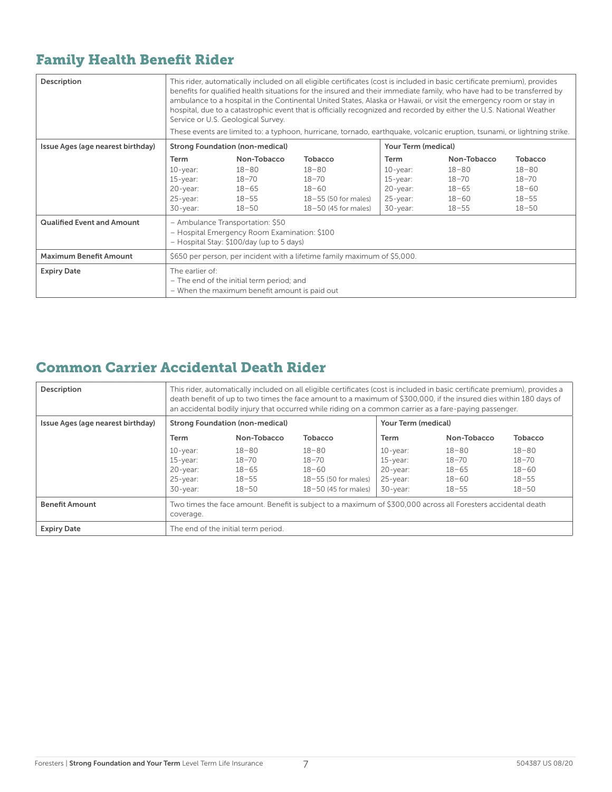#### Family Health Benefit Rider

| Description                       | This rider, automatically included on all eligible certificates (cost is included in basic certificate premium), provides<br>benefits for qualified health situations for the insured and their immediate family, who have had to be transferred by<br>ambulance to a hospital in the Continental United States, Alaska or Hawaii, or visit the emergency room or stay in<br>hospital, due to a catastrophic event that is officially recognized and recorded by either the U.S. National Weather<br>Service or U.S. Geological Survey.<br>These events are limited to: a typhoon, hurricane, tornado, earthquake, volcanic eruption, tsunami, or lightning strike. |                                                                                            |                                                                                                |                                                                                 |                                                                              |                                                                          |  |
|-----------------------------------|---------------------------------------------------------------------------------------------------------------------------------------------------------------------------------------------------------------------------------------------------------------------------------------------------------------------------------------------------------------------------------------------------------------------------------------------------------------------------------------------------------------------------------------------------------------------------------------------------------------------------------------------------------------------|--------------------------------------------------------------------------------------------|------------------------------------------------------------------------------------------------|---------------------------------------------------------------------------------|------------------------------------------------------------------------------|--------------------------------------------------------------------------|--|
| Issue Ages (age nearest birthday) |                                                                                                                                                                                                                                                                                                                                                                                                                                                                                                                                                                                                                                                                     | <b>Strong Foundation (non-medical)</b>                                                     |                                                                                                | Your Term (medical)                                                             |                                                                              |                                                                          |  |
|                                   | Term<br>$10$ -year:<br>$15$ -year:<br>$20$ -year:<br>25-year:<br>$30$ -year:                                                                                                                                                                                                                                                                                                                                                                                                                                                                                                                                                                                        | Non-Tobacco<br>$18 - 80$<br>$18 - 70$<br>$18 - 65$<br>$18 - 55$<br>$18 - 50$               | Tobacco<br>$18 - 80$<br>$18 - 70$<br>$18 - 60$<br>18-55 (50 for males)<br>18-50 (45 for males) | Term<br>$10$ -year:<br>$15$ -year:<br>$20$ -year:<br>$25$ -year:<br>$30$ -year: | Non-Tobacco<br>$18 - 80$<br>$18 - 70$<br>$18 - 65$<br>$18 - 60$<br>$18 - 55$ | Tobacco<br>$18 - 80$<br>$18 - 70$<br>$18 - 60$<br>$18 - 55$<br>$18 - 50$ |  |
| <b>Qualified Event and Amount</b> | - Ambulance Transportation: \$50<br>- Hospital Emergency Room Examination: \$100<br>- Hospital Stay: \$100/day (up to 5 days)                                                                                                                                                                                                                                                                                                                                                                                                                                                                                                                                       |                                                                                            |                                                                                                |                                                                                 |                                                                              |                                                                          |  |
| <b>Maximum Benefit Amount</b>     | \$650 per person, per incident with a lifetime family maximum of \$5,000.                                                                                                                                                                                                                                                                                                                                                                                                                                                                                                                                                                                           |                                                                                            |                                                                                                |                                                                                 |                                                                              |                                                                          |  |
| <b>Expiry Date</b>                | The earlier of:                                                                                                                                                                                                                                                                                                                                                                                                                                                                                                                                                                                                                                                     | - The end of the initial term period; and<br>- When the maximum benefit amount is paid out |                                                                                                |                                                                                 |                                                                              |                                                                          |  |

#### Common Carrier Accidental Death Rider

| Description                       | This rider, automatically included on all eligible certificates (cost is included in basic certificate premium), provides a<br>death benefit of up to two times the face amount to a maximum of \$300,000, if the insured dies within 180 days of<br>an accidental bodily injury that occurred while riding on a common carrier as a fare-paying passenger. |                                                                                                               |                                                                                             |                                                                      |                                                           |                                                               |  |  |
|-----------------------------------|-------------------------------------------------------------------------------------------------------------------------------------------------------------------------------------------------------------------------------------------------------------------------------------------------------------------------------------------------------------|---------------------------------------------------------------------------------------------------------------|---------------------------------------------------------------------------------------------|----------------------------------------------------------------------|-----------------------------------------------------------|---------------------------------------------------------------|--|--|
| Issue Ages (age nearest birthday) |                                                                                                                                                                                                                                                                                                                                                             | <b>Strong Foundation (non-medical)</b><br>Your Term (medical)                                                 |                                                                                             |                                                                      |                                                           |                                                               |  |  |
|                                   | Term                                                                                                                                                                                                                                                                                                                                                        | Non-Tobacco<br>Non-Tobacco<br><b>Tobacco</b><br><b>Term</b>                                                   |                                                                                             |                                                                      |                                                           |                                                               |  |  |
|                                   | $10$ -year:<br>$15$ -year:<br>$20$ -year:<br>$25$ -year:<br>$30$ -year:                                                                                                                                                                                                                                                                                     | $18 - 80$<br>$18 - 70$<br>$18 - 65$<br>$18 - 55$<br>$18 - 50$                                                 | $18 - 80$<br>$18 - 70$<br>$18 - 60$<br>$18 - 55$ (50 for males)<br>$18 - 50$ (45 for males) | $10$ -year:<br>$15$ -year:<br>$20$ -year:<br>$25$ -year:<br>30-year: | $18 - 80$<br>18-70<br>$18 - 65$<br>$18 - 60$<br>$18 - 55$ | $18 - 80$<br>$18 - 70$<br>$18 - 60$<br>$18 - 55$<br>$18 - 50$ |  |  |
| <b>Benefit Amount</b>             | coverage.                                                                                                                                                                                                                                                                                                                                                   | Two times the face amount. Benefit is subject to a maximum of \$300,000 across all Foresters accidental death |                                                                                             |                                                                      |                                                           |                                                               |  |  |
| <b>Expiry Date</b>                |                                                                                                                                                                                                                                                                                                                                                             | The end of the initial term period.                                                                           |                                                                                             |                                                                      |                                                           |                                                               |  |  |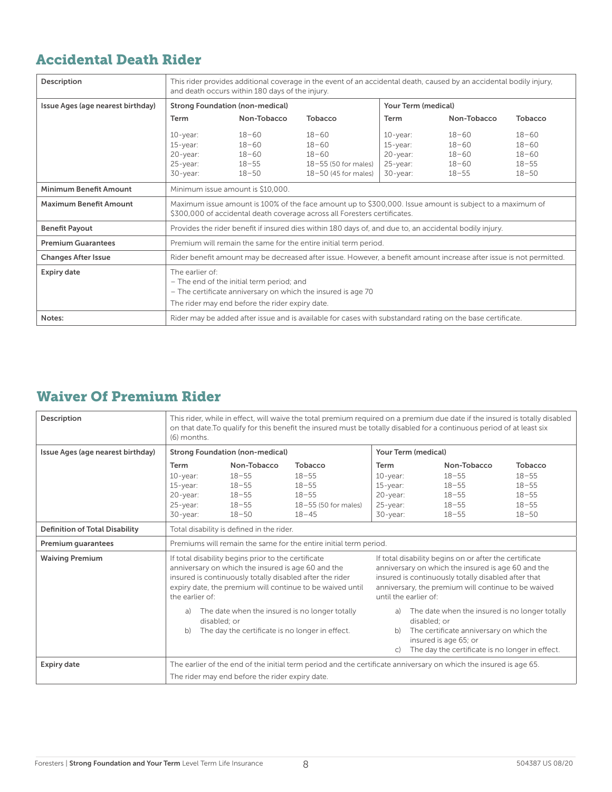#### Accidental Death Rider

| Description                       | This rider provides additional coverage in the event of an accidental death, caused by an accidental bodily injury,<br>and death occurs within 180 days of the injury.          |                                                                                                                                                                                       |                                                                                                                     |             |                     |           |  |  |
|-----------------------------------|---------------------------------------------------------------------------------------------------------------------------------------------------------------------------------|---------------------------------------------------------------------------------------------------------------------------------------------------------------------------------------|---------------------------------------------------------------------------------------------------------------------|-------------|---------------------|-----------|--|--|
| Issue Ages (age nearest birthday) |                                                                                                                                                                                 | <b>Strong Foundation (non-medical)</b>                                                                                                                                                |                                                                                                                     |             | Your Term (medical) |           |  |  |
|                                   | <b>Term</b>                                                                                                                                                                     | Non-Tobacco                                                                                                                                                                           | Tobacco                                                                                                             | Term        | Non-Tobacco         | Tobacco   |  |  |
|                                   | $10$ -year:                                                                                                                                                                     | $18 - 60$                                                                                                                                                                             | $18 - 60$                                                                                                           | $10$ -year: | $18 - 60$           | $18 - 60$ |  |  |
|                                   | $15$ -year:                                                                                                                                                                     | $18 - 60$                                                                                                                                                                             | $18 - 60$                                                                                                           | $15$ -year: | $18 - 60$           | $18 - 60$ |  |  |
|                                   | $20$ -year:                                                                                                                                                                     | $18 - 60$                                                                                                                                                                             | $18 - 60$                                                                                                           | $20$ -year: | $18 - 60$           | $18 - 60$ |  |  |
|                                   | $25$ -year:                                                                                                                                                                     | $18 - 55$                                                                                                                                                                             | 18-55 (50 for males)                                                                                                | 25-year:    | $18 - 60$           | $18 - 55$ |  |  |
|                                   | $30$ -year:                                                                                                                                                                     | $18 - 50$                                                                                                                                                                             | $18-50$ (45 for males)                                                                                              | $30$ -year: | $18 - 55$           | $18 - 50$ |  |  |
| <b>Minimum Benefit Amount</b>     |                                                                                                                                                                                 | Minimum issue amount is \$10,000.                                                                                                                                                     |                                                                                                                     |             |                     |           |  |  |
| <b>Maximum Benefit Amount</b>     |                                                                                                                                                                                 | Maximum issue amount is 100% of the face amount up to \$300,000. Issue amount is subject to a maximum of<br>\$300,000 of accidental death coverage across all Foresters certificates. |                                                                                                                     |             |                     |           |  |  |
| <b>Benefit Payout</b>             |                                                                                                                                                                                 | Provides the rider benefit if insured dies within 180 days of, and due to, an accidental bodily injury.                                                                               |                                                                                                                     |             |                     |           |  |  |
| <b>Premium Guarantees</b>         |                                                                                                                                                                                 |                                                                                                                                                                                       | Premium will remain the same for the entire initial term period.                                                    |             |                     |           |  |  |
| <b>Changes After Issue</b>        |                                                                                                                                                                                 |                                                                                                                                                                                       | Rider benefit amount may be decreased after issue. However, a benefit amount increase after issue is not permitted. |             |                     |           |  |  |
| <b>Expiry date</b>                | The earlier of:<br>- The end of the initial term period; and<br>- The certificate anniversary on which the insured is age 70<br>The rider may end before the rider expiry date. |                                                                                                                                                                                       |                                                                                                                     |             |                     |           |  |  |
| Notes:                            |                                                                                                                                                                                 |                                                                                                                                                                                       | Rider may be added after issue and is available for cases with substandard rating on the base certificate.          |             |                     |           |  |  |

#### Waiver Of Premium Rider

| Description                           | This rider, while in effect, will waive the total premium required on a premium due date if the insured is totally disabled<br>on that date. To qualify for this benefit the insured must be totally disabled for a continuous period of at least six<br>(6) months.                                                                                                                                                                                                                                         |                                                                   |                      |              |                                                                                                                   |           |  |  |
|---------------------------------------|--------------------------------------------------------------------------------------------------------------------------------------------------------------------------------------------------------------------------------------------------------------------------------------------------------------------------------------------------------------------------------------------------------------------------------------------------------------------------------------------------------------|-------------------------------------------------------------------|----------------------|--------------|-------------------------------------------------------------------------------------------------------------------|-----------|--|--|
| Issue Ages (age nearest birthday)     |                                                                                                                                                                                                                                                                                                                                                                                                                                                                                                              | <b>Strong Foundation (non-medical)</b>                            |                      |              | Your Term (medical)                                                                                               |           |  |  |
|                                       | <b>Term</b>                                                                                                                                                                                                                                                                                                                                                                                                                                                                                                  | Non-Tobacco                                                       | Tobacco              | Term         | Non-Tobacco                                                                                                       | Tobacco   |  |  |
|                                       | $10$ -year:                                                                                                                                                                                                                                                                                                                                                                                                                                                                                                  | $18 - 55$                                                         | $18 - 55$            | $10$ -year:  | $18 - 55$                                                                                                         | $18 - 55$ |  |  |
|                                       | $15$ -year:                                                                                                                                                                                                                                                                                                                                                                                                                                                                                                  | $18 - 55$                                                         | $18 - 55$            | $15$ -year:  | $18 - 55$                                                                                                         | $18 - 55$ |  |  |
|                                       | 20-year:                                                                                                                                                                                                                                                                                                                                                                                                                                                                                                     | $18 - 55$                                                         | $18 - 55$            | 20-year:     | $18 - 55$                                                                                                         | $18 - 55$ |  |  |
|                                       | $25$ -year:                                                                                                                                                                                                                                                                                                                                                                                                                                                                                                  | $18 - 55$                                                         | 18-55 (50 for males) | $25$ -year:  | $18 - 55$                                                                                                         | $18 - 55$ |  |  |
|                                       | $30$ -year:                                                                                                                                                                                                                                                                                                                                                                                                                                                                                                  | $18 - 50$                                                         | $18 - 45$            | $30$ -year:  | $18 - 55$                                                                                                         | $18 - 50$ |  |  |
| <b>Definition of Total Disability</b> |                                                                                                                                                                                                                                                                                                                                                                                                                                                                                                              | Total disability is defined in the rider.                         |                      |              |                                                                                                                   |           |  |  |
| <b>Premium quarantees</b>             |                                                                                                                                                                                                                                                                                                                                                                                                                                                                                                              | Premiums will remain the same for the entire initial term period. |                      |              |                                                                                                                   |           |  |  |
| <b>Waiving Premium</b>                | If total disability begins prior to the certificate<br>If total disability begins on or after the certificate<br>anniversary on which the insured is age 60 and the<br>anniversary on which the insured is age 60 and the<br>insured is continuously totally disabled after that<br>insured is continuously totally disabled after the rider<br>expiry date, the premium will continue to be waived until<br>anniversary, the premium will continue to be waived<br>until the earlier of:<br>the earlier of: |                                                                   |                      |              |                                                                                                                   |           |  |  |
|                                       | The date when the insured is no longer totally<br>The date when the insured is no longer totally<br>a)<br>a)<br>disabled: or<br>disabled: or<br>The day the certificate is no longer in effect.<br>The certificate anniversary on which the<br>b)<br>b)                                                                                                                                                                                                                                                      |                                                                   |                      |              |                                                                                                                   |           |  |  |
|                                       |                                                                                                                                                                                                                                                                                                                                                                                                                                                                                                              |                                                                   |                      | $\mathsf{C}$ | insured is age 65; or<br>The day the certificate is no longer in effect.                                          |           |  |  |
| Expiry date                           |                                                                                                                                                                                                                                                                                                                                                                                                                                                                                                              |                                                                   |                      |              | The earlier of the end of the initial term period and the certificate anniversary on which the insured is age 65. |           |  |  |
|                                       |                                                                                                                                                                                                                                                                                                                                                                                                                                                                                                              | The rider may end before the rider expiry date.                   |                      |              |                                                                                                                   |           |  |  |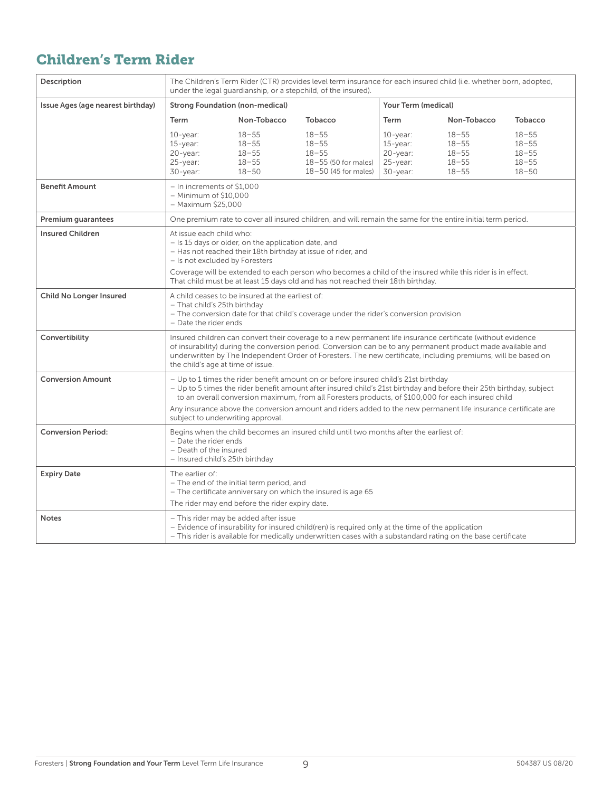#### Children's Term Rider

| Description                       | The Children's Term Rider (CTR) provides level term insurance for each insured child (i.e. whether born, adopted,<br>under the legal guardianship, or a stepchild, of the insured).                                                                                                                               |                                                                                                                                                                                                                                                                                                                                                                                   |                                                                                                                                                                                                                   |                                                                   |                                                               |                                                               |  |  |
|-----------------------------------|-------------------------------------------------------------------------------------------------------------------------------------------------------------------------------------------------------------------------------------------------------------------------------------------------------------------|-----------------------------------------------------------------------------------------------------------------------------------------------------------------------------------------------------------------------------------------------------------------------------------------------------------------------------------------------------------------------------------|-------------------------------------------------------------------------------------------------------------------------------------------------------------------------------------------------------------------|-------------------------------------------------------------------|---------------------------------------------------------------|---------------------------------------------------------------|--|--|
| Issue Ages (age nearest birthday) | <b>Strong Foundation (non-medical)</b>                                                                                                                                                                                                                                                                            |                                                                                                                                                                                                                                                                                                                                                                                   |                                                                                                                                                                                                                   | Your Term (medical)                                               |                                                               |                                                               |  |  |
|                                   | Term                                                                                                                                                                                                                                                                                                              | Non-Tobacco                                                                                                                                                                                                                                                                                                                                                                       | <b>Tobacco</b>                                                                                                                                                                                                    | Term                                                              | Non-Tobacco                                                   | Tobacco                                                       |  |  |
|                                   | $10$ -year:<br>$15$ -year:<br>20-year:<br>$25$ -year:<br>$30$ -year:                                                                                                                                                                                                                                              | $18 - 55$<br>$18 - 55$<br>$18 - 55$<br>$18 - 55$<br>$18 - 50$                                                                                                                                                                                                                                                                                                                     | $18 - 55$<br>$18 - 55$<br>$18 - 55$<br>18-55 (50 for males)<br>$18-50$ (45 for males)                                                                                                                             | $10$ -year:<br>15-year:<br>20-year:<br>$25$ -year:<br>$30$ -year: | $18 - 55$<br>$18 - 55$<br>$18 - 55$<br>$18 - 55$<br>$18 - 55$ | $18 - 55$<br>$18 - 55$<br>$18 - 55$<br>$18 - 55$<br>$18 - 50$ |  |  |
| <b>Benefit Amount</b>             |                                                                                                                                                                                                                                                                                                                   | – In increments of \$1,000<br>- Minimum of \$10,000<br>- Maximum \$25,000                                                                                                                                                                                                                                                                                                         |                                                                                                                                                                                                                   |                                                                   |                                                               |                                                               |  |  |
| Premium guarantees                |                                                                                                                                                                                                                                                                                                                   |                                                                                                                                                                                                                                                                                                                                                                                   | One premium rate to cover all insured children, and will remain the same for the entire initial term period.                                                                                                      |                                                                   |                                                               |                                                               |  |  |
| <b>Insured Children</b>           |                                                                                                                                                                                                                                                                                                                   | At issue each child who:<br>- Is 15 days or older, on the application date, and<br>- Has not reached their 18th birthday at issue of rider, and<br>- Is not excluded by Foresters<br>Coverage will be extended to each person who becomes a child of the insured while this rider is in effect.                                                                                   |                                                                                                                                                                                                                   |                                                                   |                                                               |                                                               |  |  |
|                                   |                                                                                                                                                                                                                                                                                                                   | That child must be at least 15 days old and has not reached their 18th birthday.                                                                                                                                                                                                                                                                                                  |                                                                                                                                                                                                                   |                                                                   |                                                               |                                                               |  |  |
| <b>Child No Longer Insured</b>    | A child ceases to be insured at the earliest of:<br>- That child's 25th birthday<br>- The conversion date for that child's coverage under the rider's conversion provision<br>- Date the rider ends                                                                                                               |                                                                                                                                                                                                                                                                                                                                                                                   |                                                                                                                                                                                                                   |                                                                   |                                                               |                                                               |  |  |
| Convertibility                    |                                                                                                                                                                                                                                                                                                                   | Insured children can convert their coverage to a new permanent life insurance certificate (without evidence<br>of insurability) during the conversion period. Conversion can be to any permanent product made available and<br>underwritten by The Independent Order of Foresters. The new certificate, including premiums, will be based on<br>the child's age at time of issue. |                                                                                                                                                                                                                   |                                                                   |                                                               |                                                               |  |  |
| <b>Conversion Amount</b>          | - Up to 1 times the rider benefit amount on or before insured child's 21st birthday<br>- Up to 5 times the rider benefit amount after insured child's 21st birthday and before their 25th birthday, subject<br>to an overall conversion maximum, from all Foresters products, of \$100,000 for each insured child |                                                                                                                                                                                                                                                                                                                                                                                   |                                                                                                                                                                                                                   |                                                                   |                                                               |                                                               |  |  |
|                                   | Any insurance above the conversion amount and riders added to the new permanent life insurance certificate are<br>subject to underwriting approval.                                                                                                                                                               |                                                                                                                                                                                                                                                                                                                                                                                   |                                                                                                                                                                                                                   |                                                                   |                                                               |                                                               |  |  |
| <b>Conversion Period:</b>         | Begins when the child becomes an insured child until two months after the earliest of:<br>- Date the rider ends<br>- Death of the insured<br>- Insured child's 25th birthday                                                                                                                                      |                                                                                                                                                                                                                                                                                                                                                                                   |                                                                                                                                                                                                                   |                                                                   |                                                               |                                                               |  |  |
| <b>Expiry Date</b>                | The earlier of:<br>- The end of the initial term period, and<br>- The certificate anniversary on which the insured is age 65<br>The rider may end before the rider expiry date.                                                                                                                                   |                                                                                                                                                                                                                                                                                                                                                                                   |                                                                                                                                                                                                                   |                                                                   |                                                               |                                                               |  |  |
| <b>Notes</b>                      |                                                                                                                                                                                                                                                                                                                   | - This rider may be added after issue                                                                                                                                                                                                                                                                                                                                             | - Evidence of insurability for insured child(ren) is required only at the time of the application<br>- This rider is available for medically underwritten cases with a substandard rating on the base certificate |                                                                   |                                                               |                                                               |  |  |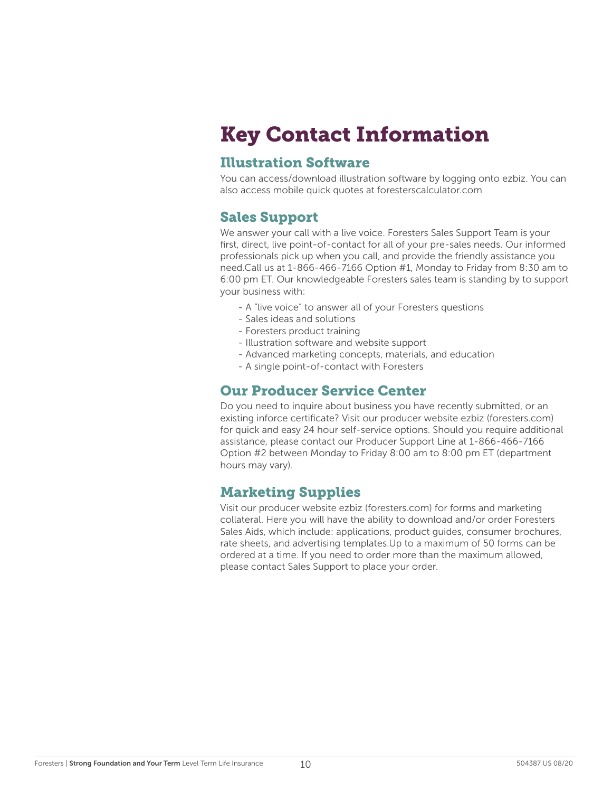## Key Contact Information

#### Illustration Software

You can access/download illustration software by logging onto ezbiz. You can also access mobile quick quotes at foresterscalculator.com

#### Sales Support

We answer your call with a live voice. Foresters Sales Support Team is your first, direct, live point-of-contact for all of your pre-sales needs. Our informed professionals pick up when you call, and provide the friendly assistance you need.Call us at 1-866-466-7166 Option #1, Monday to Friday from 8:30 am to 6:00 pm ET. Our knowledgeable Foresters sales team is standing by to support your business with:

- A "live voice" to answer all of your Foresters questions
- Sales ideas and solutions
- Foresters product training
- Illustration software and website support
- Advanced marketing concepts, materials, and education
- A single point-of-contact with Foresters

#### Our Producer Service Center

Do you need to inquire about business you have recently submitted, or an existing inforce certificate? Visit our producer website ezbiz (foresters.com) for quick and easy 24 hour self-service options. Should you require additional assistance, please contact our Producer Support Line at 1-866-466-7166 Option #2 between Monday to Friday 8:00 am to 8:00 pm ET (department hours may vary).

#### Marketing Supplies

Visit our producer website ezbiz (foresters.com) for forms and marketing collateral. Here you will have the ability to download and/or order Foresters Sales Aids, which include: applications, product guides, consumer brochures, rate sheets, and advertising templates.Up to a maximum of 50 forms can be ordered at a time. If you need to order more than the maximum allowed, please contact Sales Support to place your order.